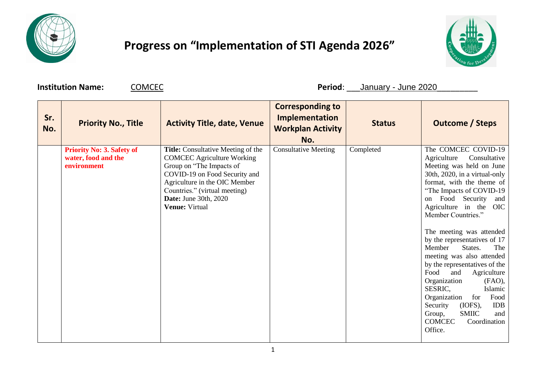

## **Progress on "Implementation of STI Agenda 2026"**



**Institution Name:**  $\underline{COMCEC}$  **Period**: \_\_\_January - June 2020

| Sr.<br>No. | <b>Priority No., Title</b>                                             | <b>Activity Title, date, Venue</b>                                                                                                                                                                                                                              | <b>Corresponding to</b><br><b>Implementation</b><br><b>Workplan Activity</b><br>No. | <b>Status</b> | <b>Outcome / Steps</b>                                                                                                                                                                                                                                                                                                                                                                                                                                                                                                                                                                                                                                 |
|------------|------------------------------------------------------------------------|-----------------------------------------------------------------------------------------------------------------------------------------------------------------------------------------------------------------------------------------------------------------|-------------------------------------------------------------------------------------|---------------|--------------------------------------------------------------------------------------------------------------------------------------------------------------------------------------------------------------------------------------------------------------------------------------------------------------------------------------------------------------------------------------------------------------------------------------------------------------------------------------------------------------------------------------------------------------------------------------------------------------------------------------------------------|
|            | <b>Priority No: 3. Safety of</b><br>water, food and the<br>environment | <b>Title:</b> Consultative Meeting of the<br><b>COMCEC Agriculture Working</b><br>Group on "The Impacts of<br>COVID-19 on Food Security and<br>Agriculture in the OIC Member<br>Countries." (virtual meeting)<br><b>Date:</b> June 30th, 2020<br>Venue: Virtual | <b>Consultative Meeting</b>                                                         | Completed     | The COMCEC COVID-19<br>Consultative<br>Agriculture<br>Meeting was held on June<br>30th, 2020, in a virtual-only<br>format, with the theme of<br>"The Impacts of COVID-19"<br>on Food Security<br>and<br>Agriculture in the<br><b>OIC</b><br>Member Countries."<br>The meeting was attended<br>by the representatives of 17<br>Member<br>States.<br>The<br>meeting was also attended<br>by the representatives of the<br>Food<br>and<br>Agriculture<br>Organization<br>$(FAO)$ ,<br>SESRIC,<br>Islamic<br>Organization<br>Food<br>for<br>Security<br>(IOFS),<br><b>IDB</b><br><b>SMIIC</b><br>Group,<br>and<br><b>COMCEC</b><br>Coordination<br>Office. |